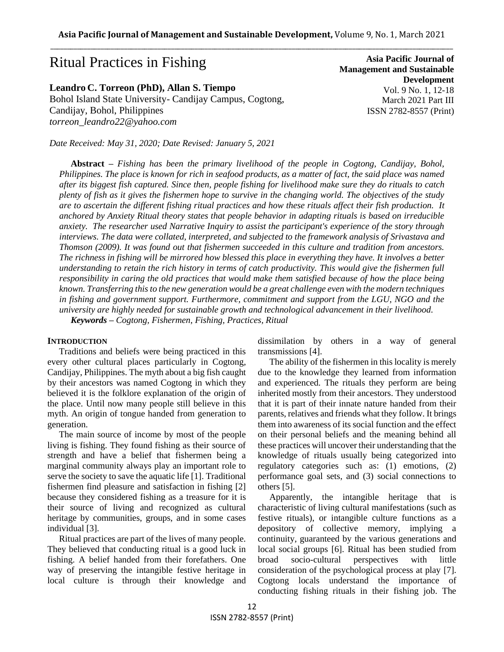# Ritual Practices in Fishing

# **Leandro C. Torreon (PhD), Allan S. Tiempo**

Bohol Island State University- Candijay Campus, Cogtong, Candijay, Bohol, Philippines *torreon\_leandro22@yahoo.com*

*Date Received: May 31, 2020; Date Revised: January 5, 2021*

**Asia Pacific Journal of Management and Sustainable Development**  Vol. 9 No. 1, 12-18 March 2021 Part III ISSN 2782-8557 (Print)

**Abstract** *– Fishing has been the primary livelihood of the people in Cogtong, Candijay, Bohol, Philippines. The place is known for rich in seafood products, as a matter of fact, the said place was named after its biggest fish captured. Since then, people fishing for livelihood make sure they do rituals to catch plenty of fish as it gives the fishermen hope to survive in the changing world. The objectives of the study are to ascertain the different fishing ritual practices and how these rituals affect their fish production. It anchored by Anxiety Ritual theory states that people behavior in adapting rituals is based on irreducible anxiety. The researcher used Narrative Inquiry to assist the participant's experience of the story through interviews. The data were collated, interpreted, and subjected to the framework analysis of Srivastava and Thomson (2009). It was found out that fishermen succeeded in this culture and tradition from ancestors. The richness in fishing will be mirrored how blessed this place in everything they have. It involves a better understanding to retain the rich history in terms of catch productivity. This would give the fishermen full responsibility in caring the old practices that would make them satisfied because of how the place being known. Transferring this to the new generation would be a great challenge even with the modern techniques in fishing and government support. Furthermore, commitment and support from the LGU, NGO and the university are highly needed for sustainable growth and technological advancement in their livelihood. Keywords – Cogtong, Fishermen, Fishing, Practices, Ritual*

## **INTRODUCTION**

Traditions and beliefs were being practiced in this every other cultural places particularly in Cogtong, Candijay, Philippines. The myth about a big fish caught by their ancestors was named Cogtong in which they believed it is the folklore explanation of the origin of the place. Until now many people still believe in this myth. An origin of tongue handed from generation to generation.

The main source of income by most of the people living is fishing. They found fishing as their source of strength and have a belief that fishermen being a marginal community always play an important role to serve the society to save the aquatic life [1]. Traditional fishermen find pleasure and satisfaction in fishing [2] because they considered fishing as a treasure for it is their source of living and recognized as cultural heritage by communities, groups, and in some cases individual [3].

Ritual practices are part of the lives of many people. They believed that conducting ritual is a good luck in fishing. A belief handed from their forefathers. One way of preserving the intangible festive heritage in local culture is through their knowledge and dissimilation by others in a way of general transmissions [4].

The ability of the fishermen in this locality is merely due to the knowledge they learned from information and experienced. The rituals they perform are being inherited mostly from their ancestors. They understood that it is part of their innate nature handed from their parents, relatives and friends what they follow. It brings them into awareness of its social function and the effect on their personal beliefs and the meaning behind all these practices will uncover their understanding that the knowledge of rituals usually being categorized into regulatory categories such as: (1) emotions, (2) performance goal sets, and (3) social connections to others [5].

Apparently, the intangible heritage that is characteristic of living cultural manifestations (such as festive rituals), or intangible culture functions as a depository of collective memory, implying a continuity, guaranteed by the various generations and local social groups [6]. Ritual has been studied from broad socio-cultural perspectives with little consideration of the psychological process at play [7]. Cogtong locals understand the importance of conducting fishing rituals in their fishing job. The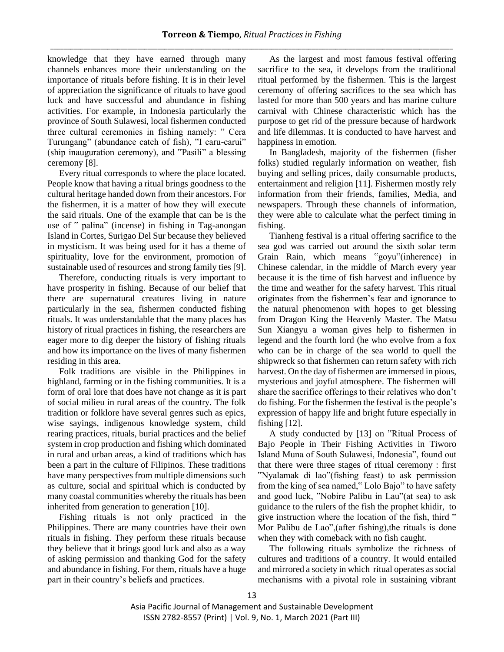knowledge that they have earned through many channels enhances more their understanding on the importance of rituals before fishing. It is in their level of appreciation the significance of rituals to have good luck and have successful and abundance in fishing activities. For example, in Indonesia particularly the province of South Sulawesi, local fishermen conducted three cultural ceremonies in fishing namely: " Cera Turungang" (abundance catch of fish), "I caru-carui" (ship inauguration ceremony), and "Pasili" a blessing ceremony [8].

Every ritual corresponds to where the place located. People know that having a ritual brings goodness to the cultural heritage handed down from their ancestors. For the fishermen, it is a matter of how they will execute the said rituals. One of the example that can be is the use of " palina" (incense) in fishing in Tag-anongan Island in Cortes, Surigao Del Sur because they believed in mysticism. It was being used for it has a theme of spirituality, love for the environment, promotion of sustainable used of resources and strong family ties [9].

Therefore, conducting rituals is very important to have prosperity in fishing. Because of our belief that there are supernatural creatures living in nature particularly in the sea, fishermen conducted fishing rituals. It was understandable that the many places has history of ritual practices in fishing, the researchers are eager more to dig deeper the history of fishing rituals and how its importance on the lives of many fishermen residing in this area.

Folk traditions are visible in the Philippines in highland, farming or in the fishing communities. It is a form of oral lore that does have not change as it is part of social milieu in rural areas of the country. The folk tradition or folklore have several genres such as epics, wise sayings, indigenous knowledge system, child rearing practices, rituals, burial practices and the belief system in crop production and fishing which dominated in rural and urban areas, a kind of traditions which has been a part in the culture of Filipinos. These traditions have many perspectives from multiple dimensions such as culture, social and spiritual which is conducted by many coastal communities whereby the rituals has been inherited from generation to generation [10].

Fishing rituals is not only practiced in the Philippines. There are many countries have their own rituals in fishing. They perform these rituals because they believe that it brings good luck and also as a way of asking permission and thanking God for the safety and abundance in fishing. For them, rituals have a huge part in their country's beliefs and practices.

As the largest and most famous festival offering sacrifice to the sea, it develops from the traditional ritual performed by the fishermen. This is the largest ceremony of offering sacrifices to the sea which has lasted for more than 500 years and has marine culture carnival with Chinese characteristic which has the purpose to get rid of the pressure because of hardwork and life dilemmas. It is conducted to have harvest and happiness in emotion.

In Bangladesh, majority of the fishermen (fisher folks) studied regularly information on weather, fish buying and selling prices, daily consumable products, entertainment and religion [11]. Fishermen mostly rely information from their friends, families, Media, and newspapers. Through these channels of information, they were able to calculate what the perfect timing in fishing.

Tianheng festival is a ritual offering sacrifice to the sea god was carried out around the sixth solar term Grain Rain, which means "goyu"(inherence) in Chinese calendar, in the middle of March every year because it is the time of fish harvest and influence by the time and weather for the safety harvest. This ritual originates from the fishermen's fear and ignorance to the natural phenomenon with hopes to get blessing from Dragon King the Heavenly Master. The Matsu Sun Xiangyu a woman gives help to fishermen in legend and the fourth lord (he who evolve from a fox who can be in charge of the sea world to quell the shipwreck so that fishermen can return safety with rich harvest. On the day of fishermen are immersed in pious, mysterious and joyful atmosphere. The fishermen will share the sacrifice offerings to their relatives who don't do fishing. For the fishermen the festival is the people's expression of happy life and bright future especially in fishing [12].

A study conducted by [13] on "Ritual Process of Bajo People in Their Fishing Activities in Tiworo Island Muna of South Sulawesi, Indonesia", found out that there were three stages of ritual ceremony : first "Nyalamak di lao"(fishing feast) to ask permission from the king of sea named," Lolo Bajo" to have safety and good luck, "Nobire Palibu in Lau"(at sea) to ask guidance to the rulers of the fish the prophet khidir, to give instruction where the location of the fish, third " Mor Palibu de Lao",(after fishing),the rituals is done when they with comeback with no fish caught.

The following rituals symbolize the richness of cultures and traditions of a country. It would entailed and mirrored a society in which ritual operates as social mechanisms with a pivotal role in sustaining vibrant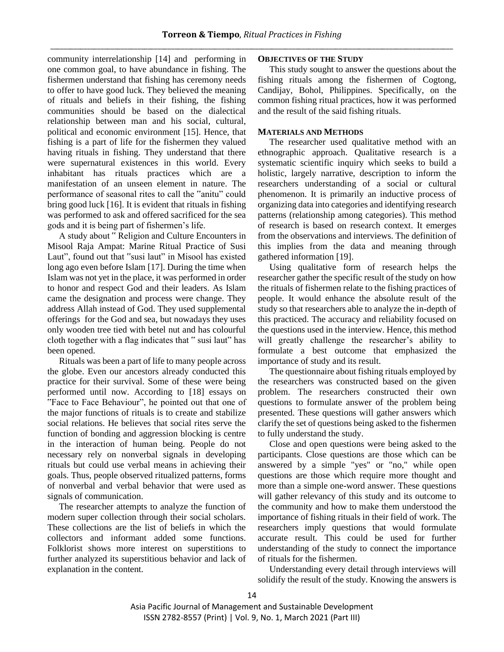community interrelationship [14] and performing in one common goal, to have abundance in fishing. The fishermen understand that fishing has ceremony needs to offer to have good luck. They believed the meaning of rituals and beliefs in their fishing, the fishing communities should be based on the dialectical relationship between man and his social, cultural, political and economic environment [15]. Hence, that fishing is a part of life for the fishermen they valued having rituals in fishing. They understand that there were supernatural existences in this world. Every inhabitant has rituals practices which are a manifestation of an unseen element in nature. The performance of seasonal rites to call the "anitu" could bring good luck [16]. It is evident that rituals in fishing was performed to ask and offered sacrificed for the sea gods and it is being part of fishermen's life.

A study about " Religion and Culture Encounters in Misool Raja Ampat: Marine Ritual Practice of Susi Laut", found out that "susi laut" in Misool has existed long ago even before Islam [17]. During the time when Islam was not yet in the place, it was performed in order to honor and respect God and their leaders. As Islam came the designation and process were change. They address Allah instead of God. They used supplemental offerings for the God and sea, but nowadays they uses only wooden tree tied with betel nut and has colourful cloth together with a flag indicates that " susi laut" has been opened.

Rituals was been a part of life to many people across the globe. Even our ancestors already conducted this practice for their survival. Some of these were being performed until now. According to [18] essays on "Face to Face Behaviour", he pointed out that one of the major functions of rituals is to create and stabilize social relations. He believes that social rites serve the function of bonding and aggression blocking is centre in the interaction of human being. People do not necessary rely on nonverbal signals in developing rituals but could use verbal means in achieving their goals. Thus, people observed ritualized patterns, forms of nonverbal and verbal behavior that were used as signals of communication.

The researcher attempts to analyze the function of modern super collection through their social scholars. These collections are the list of beliefs in which the collectors and informant added some functions. Folklorist shows more interest on superstitions to further analyzed its superstitious behavior and lack of explanation in the content.

## **OBJECTIVES OF THE STUDY**

This study sought to answer the questions about the fishing rituals among the fishermen of Cogtong, Candijay, Bohol, Philippines. Specifically, on the common fishing ritual practices, how it was performed and the result of the said fishing rituals.

# **MATERIALS AND METHODS**

The researcher used qualitative method with an ethnographic approach. Qualitative research is a systematic scientific inquiry which seeks to build a holistic, largely narrative, description to inform the researchers understanding of a social or cultural phenomenon. It is primarily an inductive process of organizing data into categories and identifying research patterns (relationship among categories). This method of research is based on research context. It emerges from the observations and interviews. The definition of this implies from the data and meaning through gathered information [19].

Using qualitative form of research helps the researcher gather the specific result of the study on how the rituals of fishermen relate to the fishing practices of people. It would enhance the absolute result of the study so that researchers able to analyze the in-depth of this practiced. The accuracy and reliability focused on the questions used in the interview. Hence, this method will greatly challenge the researcher's ability to formulate a best outcome that emphasized the importance of study and its result.

The questionnaire about fishing rituals employed by the researchers was constructed based on the given problem. The researchers constructed their own questions to formulate answer of the problem being presented. These questions will gather answers which clarify the set of questions being asked to the fishermen to fully understand the study.

Close and open questions were being asked to the participants. Close questions are those which can be answered by a simple "yes" or "no," while open questions are those which require more thought and more than a simple one-word answer. These questions will gather relevancy of this study and its outcome to the community and how to make them understood the importance of fishing rituals in their field of work. The researchers imply questions that would formulate accurate result. This could be used for further understanding of the study to connect the importance of rituals for the fishermen.

Understanding every detail through interviews will solidify the result of the study. Knowing the answers is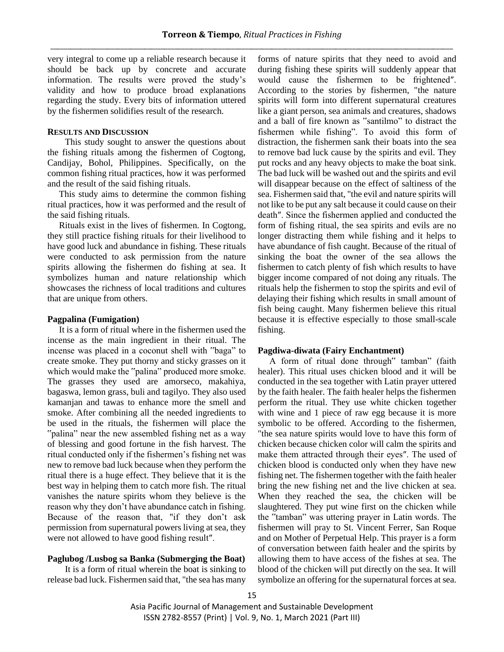very integral to come up a reliable research because it should be back up by concrete and accurate information. The results were proved the study's validity and how to produce broad explanations regarding the study. Every bits of information uttered by the fishermen solidifies result of the research.

# **RESULTS AND DISCUSSION**

This study sought to answer the questions about the fishing rituals among the fishermen of Cogtong, Candijay, Bohol, Philippines. Specifically, on the common fishing ritual practices, how it was performed and the result of the said fishing rituals.

This study aims to determine the common fishing ritual practices, how it was performed and the result of the said fishing rituals.

Rituals exist in the lives of fishermen. In Cogtong, they still practice fishing rituals for their livelihood to have good luck and abundance in fishing. These rituals were conducted to ask permission from the nature spirits allowing the fishermen do fishing at sea. It symbolizes human and nature relationship which showcases the richness of local traditions and cultures that are unique from others.

### **Pagpalina (Fumigation)**

It is a form of ritual where in the fishermen used the incense as the main ingredient in their ritual. The incense was placed in a coconut shell with "baga" to create smoke. They put thorny and sticky grasses on it which would make the "palina" produced more smoke. The grasses they used are amorseco, makahiya, bagaswa, lemon grass, buli and tagilyo. They also used kamanjan and tawas to enhance more the smell and smoke. After combining all the needed ingredients to be used in the rituals, the fishermen will place the "palina" near the new assembled fishing net as a way of blessing and good fortune in the fish harvest. The ritual conducted only if the fishermen's fishing net was new to remove bad luck because when they perform the ritual there is a huge effect. They believe that it is the best way in helping them to catch more fish. The ritual vanishes the nature spirits whom they believe is the reason why they don't have abundance catch in fishing. Because of the reason that, "if they don't ask permission from supernatural powers living at sea, they were not allowed to have good fishing result″.

## **Paglubog /Lusbog sa Banka (Submerging the Boat)**

It is a form of ritual wherein the boat is sinking to release bad luck. Fishermen said that, "the sea has many

forms of nature spirits that they need to avoid and during fishing these spirits will suddenly appear that would cause the fishermen to be frightened″. According to the stories by fishermen, "the nature spirits will form into different supernatural creatures like a giant person, sea animals and creatures, shadows and a ball of fire known as "santilmo" to distract the fishermen while fishing". To avoid this form of distraction, the fishermen sank their boats into the sea to remove bad luck cause by the spirits and evil. They put rocks and any heavy objects to make the boat sink. The bad luck will be washed out and the spirits and evil will disappear because on the effect of saltiness of the sea. Fishermen said that, "the evil and nature spirits will not like to be put any salt because it could cause on their death″. Since the fishermen applied and conducted the form of fishing ritual, the sea spirits and evils are no longer distracting them while fishing and it helps to have abundance of fish caught. Because of the ritual of sinking the boat the owner of the sea allows the fishermen to catch plenty of fish which results to have bigger income compared of not doing any rituals. The rituals help the fishermen to stop the spirits and evil of delaying their fishing which results in small amount of fish being caught. Many fishermen believe this ritual because it is effective especially to those small-scale fishing.

## **Pagdiwa-diwata (Fairy Enchantment)**

A form of ritual done through" tamban" (faith healer). This ritual uses chicken blood and it will be conducted in the sea together with Latin prayer uttered by the faith healer. The faith healer helps the fishermen perform the ritual. They use white chicken together with wine and 1 piece of raw egg because it is more symbolic to be offered. According to the fishermen, "the sea nature spirits would love to have this form of chicken because chicken color will calm the spirits and make them attracted through their eyes″. The used of chicken blood is conducted only when they have new fishing net. The fishermen together with the faith healer bring the new fishing net and the live chicken at sea. When they reached the sea, the chicken will be slaughtered. They put wine first on the chicken while the "tamban" was uttering prayer in Latin words. The fishermen will pray to St. Vincent Ferrer, San Roque and on Mother of Perpetual Help. This prayer is a form of conversation between faith healer and the spirits by allowing them to have access of the fishes at sea. The blood of the chicken will put directly on the sea. It will symbolize an offering for the supernatural forces at sea.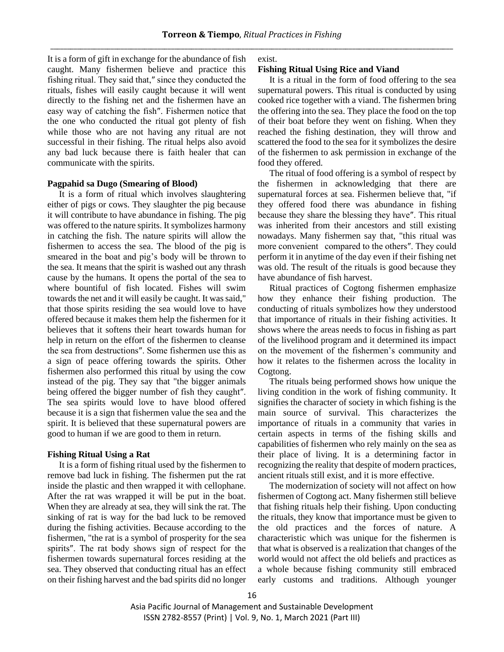It is a form of gift in exchange for the abundance of fish caught. Many fishermen believe and practice this fishing ritual. They said that,″ since they conducted the rituals, fishes will easily caught because it will went directly to the fishing net and the fishermen have an easy way of catching the fish″. Fishermen notice that the one who conducted the ritual got plenty of fish while those who are not having any ritual are not successful in their fishing. The ritual helps also avoid any bad luck because there is faith healer that can communicate with the spirits.

#### **Pagpahid sa Dugo (Smearing of Blood)**

It is a form of ritual which involves slaughtering either of pigs or cows. They slaughter the pig because it will contribute to have abundance in fishing. The pig was offered to the nature spirits. It symbolizes harmony in catching the fish. The nature spirits will allow the fishermen to access the sea. The blood of the pig is smeared in the boat and pig's body will be thrown to the sea. It means that the spirit is washed out any thrash cause by the humans. It opens the portal of the sea to where bountiful of fish located. Fishes will swim towards the net and it will easily be caught. It was said," that those spirits residing the sea would love to have offered because it makes them help the fishermen for it believes that it softens their heart towards human for help in return on the effort of the fishermen to cleanse the sea from destructions″. Some fishermen use this as a sign of peace offering towards the spirits. Other fishermen also performed this ritual by using the cow instead of the pig. They say that "the bigger animals being offered the bigger number of fish they caught″. The sea spirits would love to have blood offered because it is a sign that fishermen value the sea and the spirit. It is believed that these supernatural powers are good to human if we are good to them in return.

#### **Fishing Ritual Using a Rat**

It is a form of fishing ritual used by the fishermen to remove bad luck in fishing. The fishermen put the rat inside the plastic and then wrapped it with cellophane. After the rat was wrapped it will be put in the boat. When they are already at sea, they will sink the rat. The sinking of rat is way for the bad luck to be removed during the fishing activities. Because according to the fishermen, "the rat is a symbol of prosperity for the sea spirits″. The rat body shows sign of respect for the fishermen towards supernatural forces residing at the sea. They observed that conducting ritual has an effect on their fishing harvest and the bad spirits did no longer exist.

#### **Fishing Ritual Using Rice and Viand**

It is a ritual in the form of food offering to the sea supernatural powers. This ritual is conducted by using cooked rice together with a viand. The fishermen bring the offering into the sea. They place the food on the top of their boat before they went on fishing. When they reached the fishing destination, they will throw and scattered the food to the sea for it symbolizes the desire of the fishermen to ask permission in exchange of the food they offered.

The ritual of food offering is a symbol of respect by the fishermen in acknowledging that there are supernatural forces at sea. Fishermen believe that, "if they offered food there was abundance in fishing because they share the blessing they have″. This ritual was inherited from their ancestors and still existing nowadays. Many fishermen say that, "this ritual was more convenient compared to the others″. They could perform it in anytime of the day even if their fishing net was old. The result of the rituals is good because they have abundance of fish harvest.

Ritual practices of Cogtong fishermen emphasize how they enhance their fishing production. The conducting of rituals symbolizes how they understood that importance of rituals in their fishing activities. It shows where the areas needs to focus in fishing as part of the livelihood program and it determined its impact on the movement of the fishermen's community and how it relates to the fishermen across the locality in Cogtong.

The rituals being performed shows how unique the living condition in the work of fishing community. It signifies the character of society in which fishing is the main source of survival. This characterizes the importance of rituals in a community that varies in certain aspects in terms of the fishing skills and capabilities of fishermen who rely mainly on the sea as their place of living. It is a determining factor in recognizing the reality that despite of modern practices, ancient rituals still exist, and it is more effective.

The modernization of society will not affect on how fishermen of Cogtong act. Many fishermen still believe that fishing rituals help their fishing. Upon conducting the rituals, they know that importance must be given to the old practices and the forces of nature. A characteristic which was unique for the fishermen is that what is observed is a realization that changes of the world would not affect the old beliefs and practices as a whole because fishing community still embraced early customs and traditions. Although younger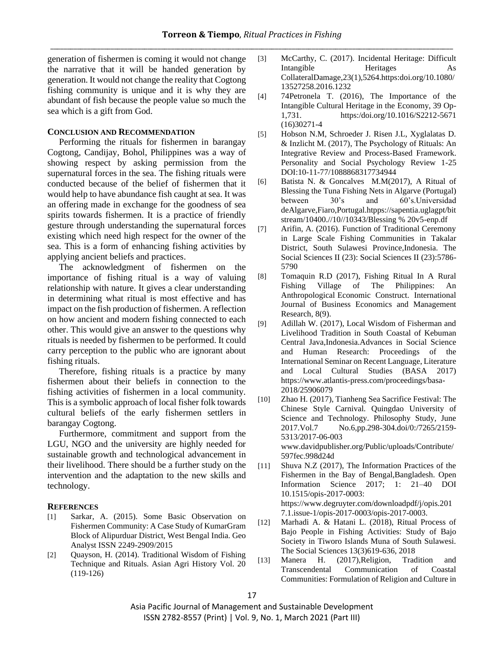generation of fishermen is coming it would not change the narrative that it will be handed generation by generation. It would not change the reality that Cogtong fishing community is unique and it is why they are abundant of fish because the people value so much the sea which is a gift from God.

# **CONCLUSION AND RECOMMENDATION**

Performing the rituals for fishermen in barangay Cogtong, Candijay, Bohol, Philippines was a way of showing respect by asking permission from the supernatural forces in the sea. The fishing rituals were conducted because of the belief of fishermen that it would help to have abundance fish caught at sea. It was an offering made in exchange for the goodness of sea spirits towards fishermen. It is a practice of friendly gesture through understanding the supernatural forces existing which need high respect for the owner of the sea. This is a form of enhancing fishing activities by applying ancient beliefs and practices.

The acknowledgment of fishermen on the importance of fishing ritual is a way of valuing relationship with nature. It gives a clear understanding in determining what ritual is most effective and has impact on the fish production of fishermen. A reflection on how ancient and modern fishing connected to each other. This would give an answer to the questions why rituals is needed by fishermen to be performed. It could carry perception to the public who are ignorant about fishing rituals.

Therefore, fishing rituals is a practice by many fishermen about their beliefs in connection to the fishing activities of fishermen in a local community. This is a symbolic approach of local fisher folk towards cultural beliefs of the early fishermen settlers in barangay Cogtong.

Furthermore, commitment and support from the LGU, NGO and the university are highly needed for sustainable growth and technological advancement in their livelihood. There should be a further study on the intervention and the adaptation to the new skills and technology.

### **REFERENCES**

- [1] Sarkar, A. (2015). Some Basic Observation on Fishermen Community: A Case Study of KumarGram Block of Alipurduar District, West Bengal India. Geo Analyst ISSN 2249-2909/2015
- [2] Quayson, H. (2014). Traditional Wisdom of Fishing Technique and Rituals. Asian Agri History Vol. 20 (119-126)
- [3] McCarthy, C. (2017). Incidental Heritage: Difficult Intangible Heritages As CollateralDamage,23(1),5264.https:doi.org/10.1080/ 13527258.2016.1232
- [4] 74Petronela T. (2016), The Importance of the Intangible Cultural Heritage in the Economy, 39 Op-1,731. https:/doi.org/10.1016/S2212-5671 (16)30271-4
- [5] Hobson N.M, Schroeder J. Risen J.L, Xyglalatas D. & Inzlicht M. (2017), The Psychology of Rituals: An Integrative Review and Process-Based Framework. Personality and Social Psychology Review 1-25 DOI:10-11-77/1088868317734944
- [6] Batista N. & Goncalves M.M(2017), A Ritual of Blessing the Tuna Fishing Nets in Algarve (Portugal) between 30's and 60's.Universidad deAlgarve,Fiaro,Portugal.htpps://sapentia.uglagpt/bit stream/10400.//10//10343/Blessing % 20v5-enp.df
- [7] Arifin, A. (2016). Function of Traditional Ceremony in Large Scale Fishing Communities in Takalar District, South Sulawesi Province,Indonesia. The Social Sciences II (23): Social Sciences II (23):5786- 5790
- [8] Tomaquin R.D (2017), Fishing Ritual In A Rural Fishing Village of The Philippines: An Anthropological Economic Construct. International Journal of Business Economics and Management Research, 8(9).
- [9] Adillah W. (2017), Local Wisdom of Fisherman and Livelihood Tradition in South Coastal of Kebuman Central Java,Indonesia.Advances in Social Science and Human Research: Proceedings of the International Seminar on Recent Language, Literature and Local Cultural Studies (BASA 2017) [https://www.atlantis-press.com/proceedings/basa-](https://www.atlantis-press.com/proceedings/basa-2018/25906079)[2018/25906079](https://www.atlantis-press.com/proceedings/basa-2018/25906079)
- [10] Zhao H. (2017), Tianheng Sea Sacrifice Festival: The Chinese Style Carnival. Quingdao University of Science and Technology. Philosophy Study, June 2017.Vol.7 No.6,pp.298-304.doi/0:/7265/2159- 5313/2017-06-003 www.davidpublisher.org/Public/uploads/Contribute/ 597fec.998d24d
- [11] Shuva N.Z (2017), The Information Practices of the Fishermen in the Bay of Bengal,Bangladesh. Open Information Science 2017; 1: 21–40 DOI 10.1515/opis-2017-0003: https://www.degruyter.com/downloadpdf/j/opis.201
	- 7.1.issue-1/opis-2017-0003/opis-2017-0003.
- [12] Marhadi A. & Hatani L. (2018), Ritual Process of Bajo People in Fishing Activities: Study of Bajo Society in Tiworo Islands Muna of South Sulawesi. The Social Sciences 13(3)619-636, 2018
- [13] Manera H. (2017),Religion, Tradition and Transcendental Communication of Coastal Communities: Formulation of Religion and Culture in